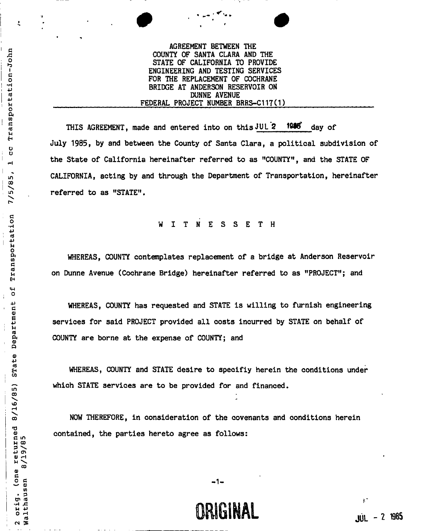## AGREEMENT BETWEEN THE COUNTY OF SANTA CLARA AND THE STATE OF CALIFORNIA TO PROVIDE ' ENGINEERING AND TESTING SERVICES FOR THE REPLACEMENT OF COCHRANE 5 BRIDGE AT ANDERSON RESERVOIR ON DUNNE AVENUE FEDERAL PROJECT NUMBER BRRS-C117(1)

**S** THIS AGREEMENT, **made and entered into on this** JUL *2* **IMS" day of**  July 1985, by and between the County of Santa Clara, a political subdivision of the State of California hereinafter referred to as "COUNTY", and the STATE OF CALIFORNIA, acting by and through the Department of Transportation, hereinafter referred to as "STATE".

# WITNESSET H

 WHEREAS, COUNTY contemplates replacement of a bridge at Anderson Reservoir 2 on Dunne Avenue (Cochrane Bridge) hereinafter referred to as "PROJECT"; and

WHEREAS, COUNTY has requested and STATE is willing to furnish engineering services for said PROJECT provided all costs incurred by STATE on behalf of COUNTY are borne at the expense of COUNTY; and

WHEREAS, COUNTY and STATE desire to specifiy herein the conditions under which STATE services are to be provided for and financed.

NOW THEREFORE, in consideration of the covenants and conditions herein contained, the parties hereto agree as follows:

 **1** 

----

÷,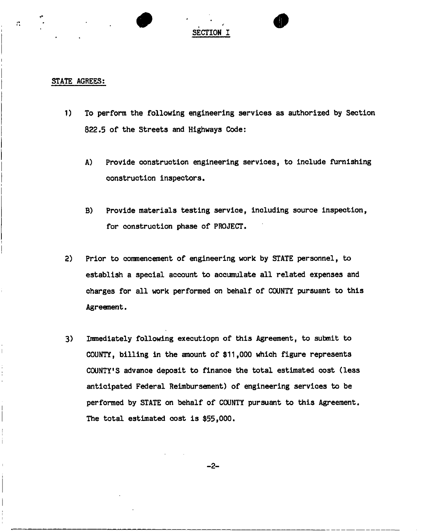# SECTION I

#### STATE AGREES:

 $\mathcal{L}^{\bullet}_{\mathbf{a}}$ 

- 1) To perform the following engineering services as authorized by Section 822.5 of the Streets and Highways Code:
	- A) Provide construction engineering services, to include furnishing construction inspectors.
	- B) Provide materials testing service, including source inspection, for construction phase of PROJECT.
- 2) Prior to commencement of engineering work by STATE personnel, to establish a special account to accumulate all related expenses and charges for all work performed on behalf of COUNTY pursuant to this Agreement.
- 3) Immediately following executiopn of this Agreement, to submit to COUNTY, billing in the amount of \$11,000 which figure represents COUNTY'S advance deposit to finance the total estimated cost (less anticipated Federal Reimbursement) of engineering services to be performed by STATE on behalf of COUNTY pursuant to this Agreement. The total estimated cost is \$55,000.

 $-2-$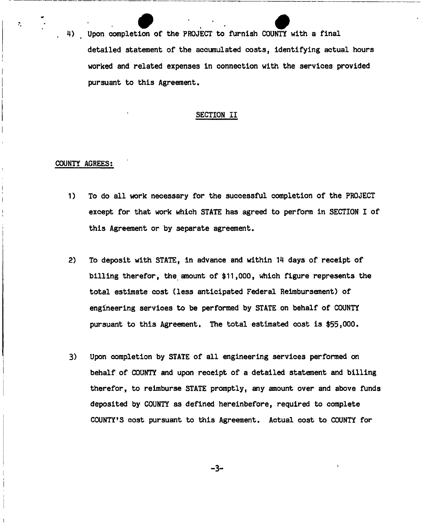Upon completion of the PROJECT to furnish COUNTY with a final ,  $\mathcal{U}_i$  , then completion of the PROJECT to furnish COUNTY with a final  $\mathcal{U}_i$ detailed statement of the accumulated costs, identifying actual hours worked and related expenses in connection with the services provided pursuant to this Agreement.

#### SECTION II

#### COUNTY AGREES:

 $\mathcal{P}$ 

- 1) To do all work necessary for the successful completion of the PROJECT except for that work which STATE has agreed to perform in SECTION I of this Agreement or by separate agreement.
- 2) To deposit with STATE, in advance and within 14 days of receipt of billing therefor, the amount of \$11,000, which figure represents the total estimate cost (less anticipated Federal Reimbursement) of engineering services to be performed by STATE on behalf of COUNTY pursuant to this Agreement. The total estimated cost is \$55,000.
- 3) Upon completion by STATE of all engineering services performed on behalf of COUNTY and upon receipt of a detailed statement and billing therefor, to reimburse STATE promptly, any amount over and above funds deposited by COUNTY as defined hereinbefore, required to complete COUNTY'S cost pursuant to this Agreement. Actual cost to COUNTY for

**-3-**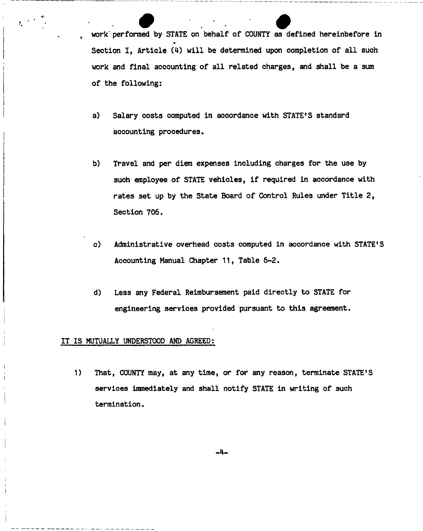work performed by STATE on behalf of COUNTY as defined hereinbefore in • Section I, Article (4) will be determined upon completion of all such work and final accounting of all related charges, and shall be a sum of the following:

- a) Salary costs computed in accordance with STATE'S standard accounting procedures.
- b) Travel and per diem expenses including charges for the use by such employee of STATE vehicles, if required in accordance with rates set up by the State Board of Control Rules under Title 2, Section 706,
- c) Administrative overhead costs computed in accordance with STATE'S Accounting Manual Chapter 11, Table 6-2.
- d) Less any Federal Reimbursement paid directly to STATE for engineering services provided pursuant to this agreement.

#### IT IS MUTUALLY UNDERSTOOD AND AGREED;

1) That, COUNTY may, at any time, or for any reason, terminate STATE'S services immediately and shall notify STATE in writing of such termination.

**-4-**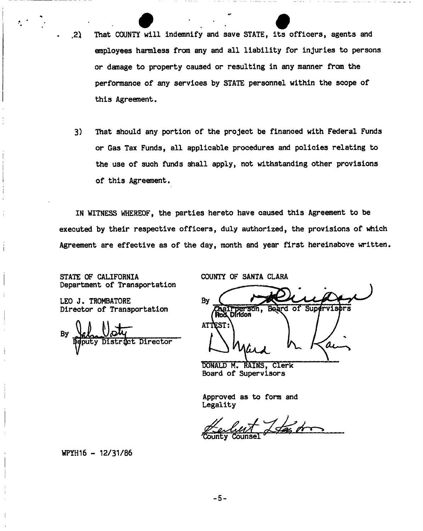- .<br>2) That COUNTY will indemnify and save STATE, its officers, agents and employees harmless from any and all liability for injuries to persons or damage to property caused or resulting in any manner from the performance of any services by STATE personnel within the scope of this Agreement.
- 3) That should any portion of the project be financed with Federal Funds or Gas Tax Funds, all applicable procedures and policies relating to the use of such funds shall apply, not withstanding other provisions of this Agreement,

IN WITNESS WHEREOF, the parties hereto have caused this Agreement to be executed by their respective officers, duly authorized, the provisions of which Agreement are effective as of the day, month and year first hereinabove written.

STATE OF CALIFORNIA COUNTY OF SANTA CLARA<br>Department of Transportation

LEO J. TROMBATORE Director of Transportation

By District Director eputy.

Bv Beard of Super Chall person,  $v1$ sors ATTEST: O.

DONALD M. RAINS, Clerk Board of Supervisors

Approved as to form and Legality

Lfas dr

WPYH16 - 12/31/86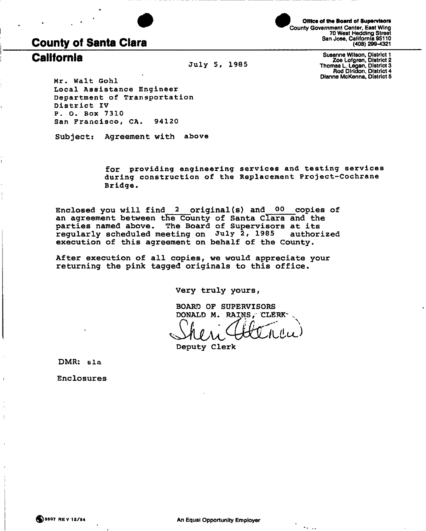



Office of the Board of Supervisors **^^County Government Center, East Wing 70 West Hedding Street San Jose, California 95110 County of Santa Clara (408) 299-4321** 

**California Susanne Wilson, District 1 July 5, 1985 Zoe Lofgren, District 2 Thomas L. Legan, District 3 Rod Diridon, District 4**<br>**Dianne McKenna, District 5** 

**Dlanne McKenna, District 5 M r . Wal t Goh l**  Local Assistance Engineer **Department of Transportation District IV P . 0 . Box 7310 San Francisco , CA . 94120** 

**Subject: Agreement with above** 

**f or providin g engineerin g service s and testin g service s durin g constructio n of the Replacemen t Project-Cochran e Bridge .** 

**Enclosed you will find 2 original(s) and 00 copies of an agreement between the County of Santa Clara and the parties named above. The Board of Supervisors at its regularly scheduled meeting on July 2, 1985 authorized execution of this agreement on behalf of the County.** 

**After execution of all copies, we would appreciate your returning the pink tagged originals to this office.** 

**Very truly yours** 

**BOARD OF SUPERVISORS DONALD M. RAINS, CLERK-**

**Deputy Clerk** 

**DMR : sla** 

**Enclosures** 

 $\sim$   $\sim$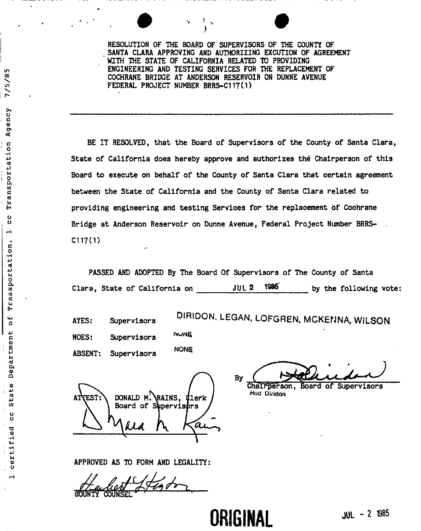RESOLUTION OF THE BOARD OF SUPERVISORS OF THE COUNTY OF SANTA CLARA APPROVING AND AUTHORIZING EXCUTION OF AGREEMENT WITH THE STATE OF CALIFORNIA RELATED TO PROVIDING ENGINEERING AND TESTING SERVICES FOR THE REPLACEMENT OF COCHRANE BRIDGE AT ANDERSON RESERVOIR ON DUNNE AVENUE FEDERAL PROJECT NUMBER BRRS-C117(1)

BE IT RESOLVED, that the Board of Supervisors of the County of Santa Clara, State of California does hereby approve and authorizes the Chairperson of this Board to execute on behalf of the County of Santa Clara that certain agreement between the State of California and the County of Santa Clara related to providing engineering and testing Services for the replacement of Cochrane Bridge at Anderson Reservoir on Dunne Avenue, Federal Project Number BRRS-C117(1)

PASSED AND ADOPTED By The Board Of Supervisors of The County of Santa Clara, State of California on JUL 2 1985 by the following vote:

LC.

 $7/5/8$ 

Agency

Transportation

 $\frac{0}{0}$  $\overline{\phantom{0}}$ 

Trnasportation,

 $\frac{4}{5}$ 

Department

State

U<br>U

certified

 $\blacksquare$ 

AYES: Supervisors DIRIDON, LEGAN, LOFGREN, MCKENNA, WILSON

**NUNE** NOES: Supervisors **NONE** ABSENT: Supervisors

By

 $TEST:\ \longrightarrow$  DONALD M. RAINS,  $q$ lerk Board of Supervisors *suu CU<sup>y</sup>*

Chairperson, Board of Supervisors Hod **Diridon** 

**ORIGINAL** JUL - 2 1985

APPROVED AS TO FORM AND LEGALITY:

- )UNTY COUNSEL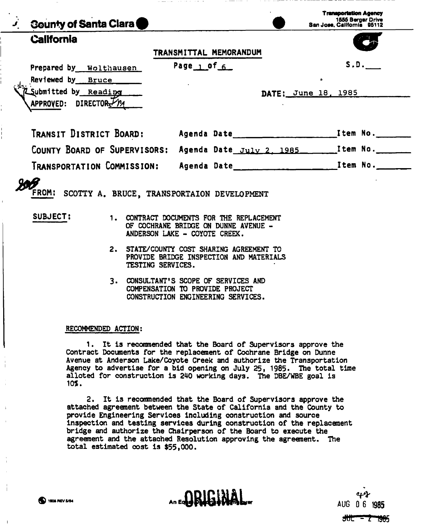| <b>J.</b> County of Santa Clara                                                                                                                                                                                                                                                                                                                                                                                   |                        | <b>Transportation Agency</b><br>1555 Berger Drive<br>San Jose, California 95112                                                 |      |
|-------------------------------------------------------------------------------------------------------------------------------------------------------------------------------------------------------------------------------------------------------------------------------------------------------------------------------------------------------------------------------------------------------------------|------------------------|---------------------------------------------------------------------------------------------------------------------------------|------|
| <b>California</b>                                                                                                                                                                                                                                                                                                                                                                                                 | TRANSMITTAL MEMORANDUM |                                                                                                                                 |      |
| Prepared by Wolthausen<br>Reviewed by Bruce<br>Submitted by Reading<br>APPROVED: DIRECTOR YM                                                                                                                                                                                                                                                                                                                      | Page $1.0f$ 6          | ÷<br>DATE: June 18, 1985                                                                                                        | S.D. |
|                                                                                                                                                                                                                                                                                                                                                                                                                   |                        |                                                                                                                                 |      |
| COUNTY BOARD OF SUPERVISORS: Agenda Date July 2. 1985. ________Item No.                                                                                                                                                                                                                                                                                                                                           |                        |                                                                                                                                 |      |
| TRANSPORTATION COMMISSION: Agenda Date                                                                                                                                                                                                                                                                                                                                                                            |                        | <b>Example 21 Contract 2 Contract 2 Contract 2 Contract 2 Contract 2 Contract 2 Contract 2 Contract 2 Contract 2</b>            |      |
| FROM: SCOTTY A. BRUCE, TRANSPORTAION DEVELOPMENT<br>SUBJECT:<br>1. CONTRACT DOCUMENTS FOR THE REPLACEMENT<br>OF COCHRANE BRIDGE ON DUNNE AVENUE -<br>ANDERSON LAKE - COYOTE CREEK.<br>2. STATE/COUNTY COST SHARING AGREEMENT TO<br>PROVIDE BRIDGE INSPECTION AND MATERIALS<br>TESTING SERVICES.<br>3. CONSULTANT'S SCOPE OF SERVICES AND<br>COMPENSATION TO PROVIDE PROJECT<br>CONSTRUCTION ENGINEERING SERVICES. |                        |                                                                                                                                 |      |
| RECOMMENDED ACTION:<br>Contract Documents for the replacement of Cochrane Bridge on Dunne<br>Avenue at Anderson Lake/Coyote Creek and authorize the Transportation<br>Agency to advertise for a bid opening on July 25, 1985. The total time<br>alloted for construction is 240 working days. The DBE/WBE goal is<br>10%.                                                                                         |                        | 1. It is recommended that the Board of Supervisors approve the<br>2 Tt is recommended that the Board of Supervisors approve the |      |

2. It is recommended that the Board of Supervisors approve the attached agreement between the State of California and the County to provide Engineering Services Including construction and source inspection and testing services during construction of the replacement bridge and authorize the Chairperson of the Board to execute the agreement and the attached Resolution approving the agreement. The total estimated cost is \$55,000.

 $\overline{\phantom{a}}$ 

An Ear DRIGHAMAI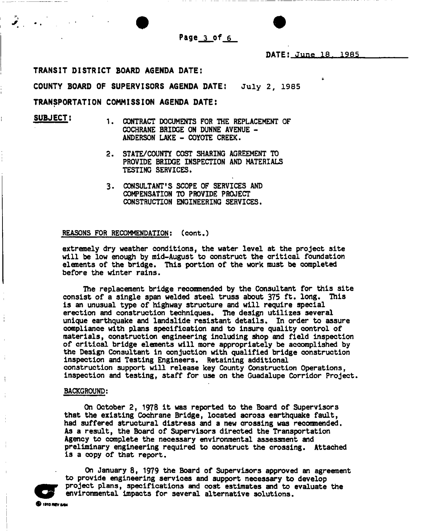

### **TRANSIT DISTRICT BOARD AGENDA DATE:**

**COUNTY BOARD OF SUPERVISORS AGENDA DATE: July 2, 1985** 

#### **TRANSPORTATION COMMISSION AGENDA DATE:**

SUBJECT:

- CONTRACT DOCUMENTS FOR THE REPLACEMENT OF COCHRANE BRIDGE ON DUNNE AVENUE - ANDERSON LAKE - COYOTE CREEK.
- STATE/COUNTY COST SHARING AGREEMENT TO PROVIDE BRIDGE INSPECTION AND MATERIALS TESTING SERVICES. **2.**
- CONSULTANT'S SCOPE OF SERVICES AND 3. COMPENSATION TO PROVIDE PROJECT CONSTRUCTION ENGINEERING SERVICES.

#### REASONS FOR RECOMMENDATION: (cont.)

extremely dry weather conditions, the water level at the project site will be low enough by mid-August to construct the critical foundation elements of the bridge. This portion of the work must be completed before the winter rains.

The replacement bridge recommended by the Consultant for this site consist of a single span welded steel truss about 375 ft. long. This is an unusual type of highway structure and will require special erection and construction techniques. The design utilizes several unique earthquake and landslide resistant details. In order to assure compliance with plans specification and to insure quality control of materials, construction engineering including shop and field inspection of critical bridge elements will more appropriately be accomplished by the Design Consultant in conjuctlon with qualified bridge construction inspection and Testing Engineers. Retaining additional construction support will release key County Construction Operations, inspection and testing, staff for use on the Guadalupe Corridor Project.

#### BACKGROUND:

On October 2, 1978 it was reported to the Board of Supervisors that the existing Cochrane Bridge, located across earthquake fault, had suffered structural distress and a new crossing was reconmended. As a result, the Board of Supervisors directed the Transportation Agency to complete the necessary environmental assessment and preliminary engineering required to construct the crossing. Attached is a copy of that report.



On January 8, 1979 the Board of Supervisors approved an agreement to provide engineering services and support necessary to develop project plans, specifications and cost estimates and to evaluate the environmental impacts for several alternative solutions.